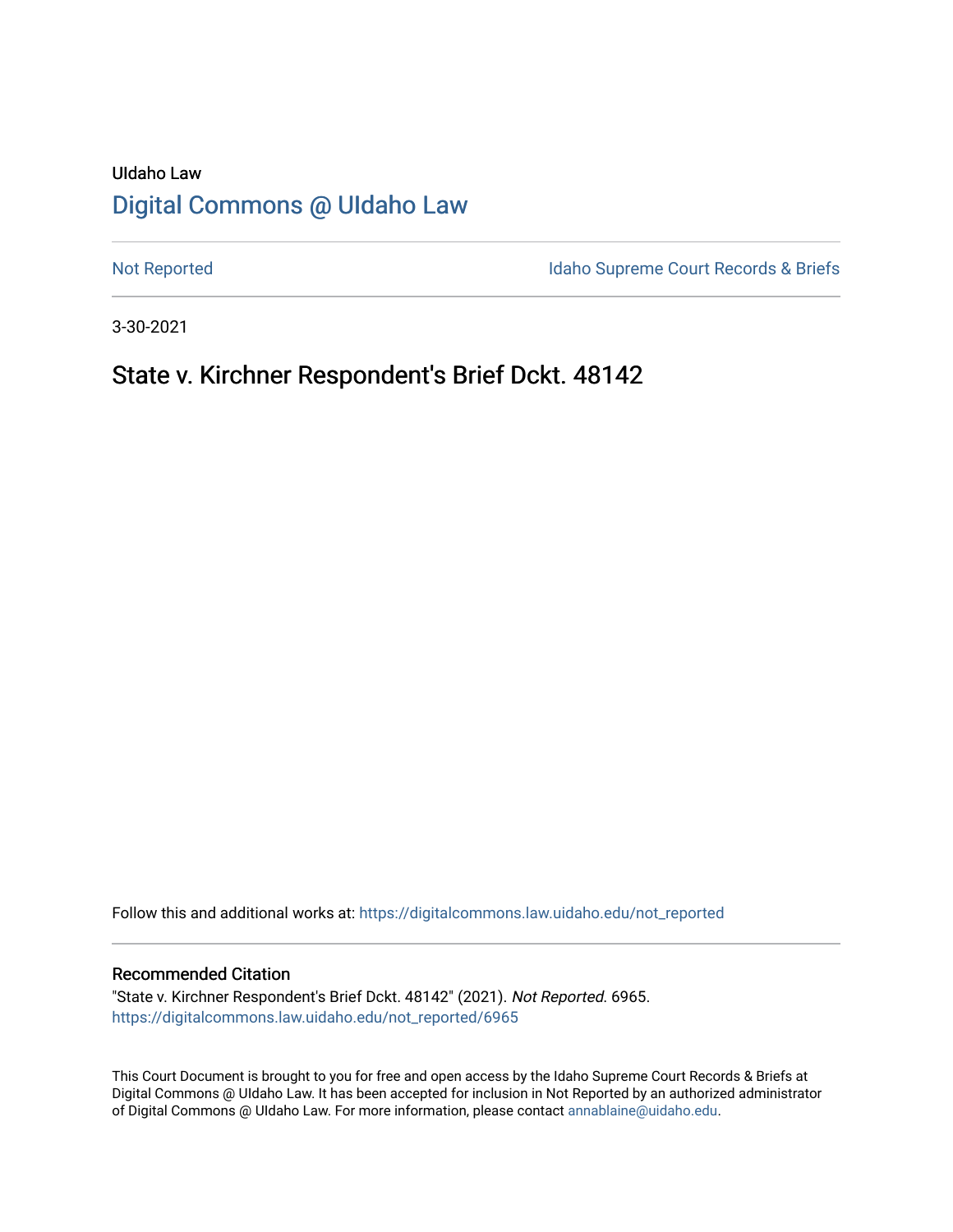# UIdaho Law [Digital Commons @ UIdaho Law](https://digitalcommons.law.uidaho.edu/)

[Not Reported](https://digitalcommons.law.uidaho.edu/not_reported) **Idaho Supreme Court Records & Briefs** 

3-30-2021

## State v. Kirchner Respondent's Brief Dckt. 48142

Follow this and additional works at: [https://digitalcommons.law.uidaho.edu/not\\_reported](https://digitalcommons.law.uidaho.edu/not_reported?utm_source=digitalcommons.law.uidaho.edu%2Fnot_reported%2F6965&utm_medium=PDF&utm_campaign=PDFCoverPages) 

#### Recommended Citation

"State v. Kirchner Respondent's Brief Dckt. 48142" (2021). Not Reported. 6965. [https://digitalcommons.law.uidaho.edu/not\\_reported/6965](https://digitalcommons.law.uidaho.edu/not_reported/6965?utm_source=digitalcommons.law.uidaho.edu%2Fnot_reported%2F6965&utm_medium=PDF&utm_campaign=PDFCoverPages)

This Court Document is brought to you for free and open access by the Idaho Supreme Court Records & Briefs at Digital Commons @ UIdaho Law. It has been accepted for inclusion in Not Reported by an authorized administrator of Digital Commons @ UIdaho Law. For more information, please contact [annablaine@uidaho.edu](mailto:annablaine@uidaho.edu).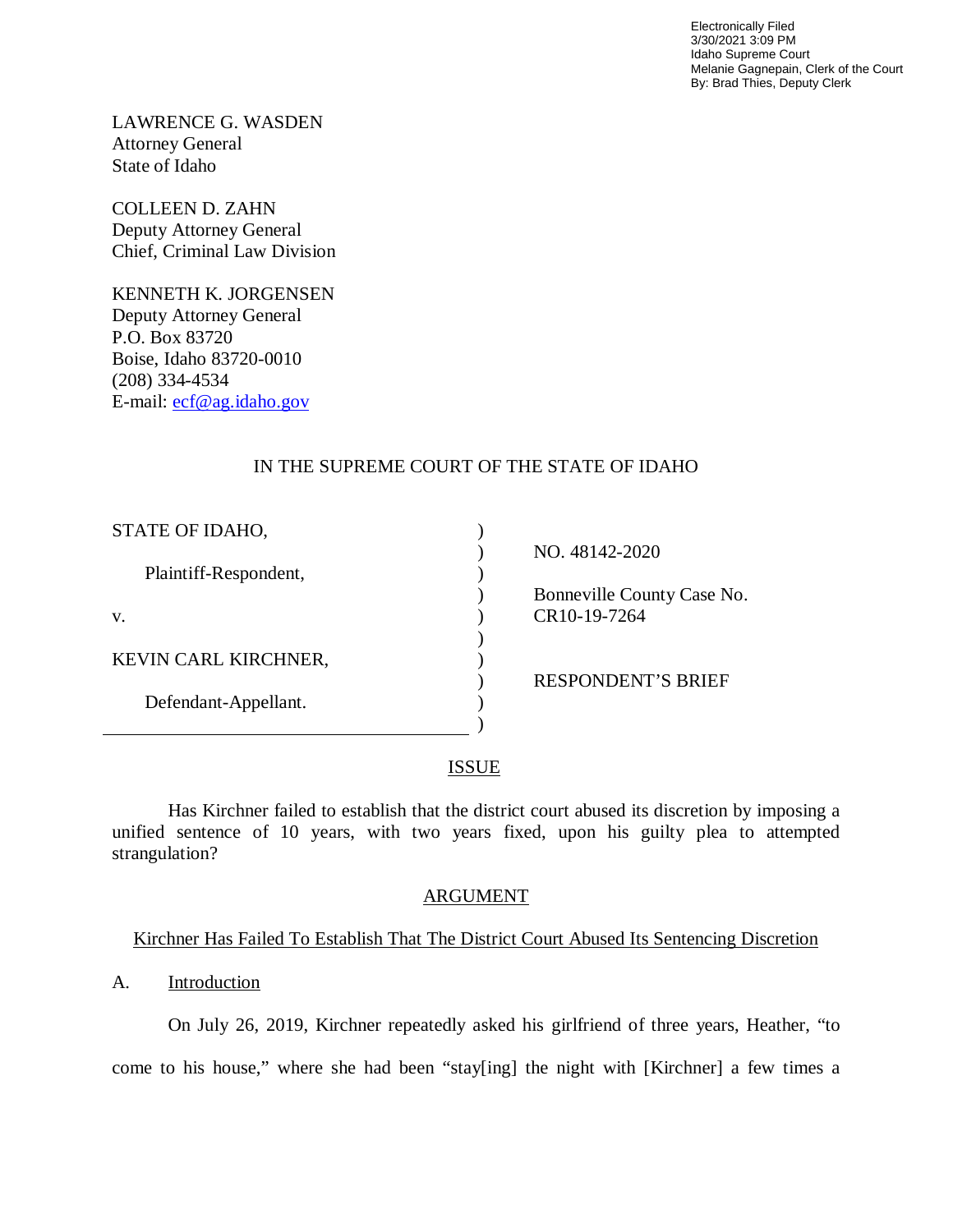Electronically Filed 3/30/2021 3:09 PM Idaho Supreme Court Melanie Gagnepain, Clerk of the Court By: Brad Thies, Deputy Clerk

LAWRENCE G. WASDEN Attorney General State of Idaho

COLLEEN D. ZAHN Deputy Attorney General Chief, Criminal Law Division

KENNETH K. JORGENSEN Deputy Attorney General P.O. Box 83720 Boise, Idaho 83720-0010 (208) 334-4534 E-mail: [ecf@ag.idaho.gov](mailto:ecf@ag.idaho.gov) 

## IN THE SUPREME COURT OF THE STATE OF IDAHO

| NO. 48142-2020             |
|----------------------------|
|                            |
| Bonneville County Case No. |
| CR10-19-7264               |
|                            |
|                            |
| <b>RESPONDENT'S BRIEF</b>  |
|                            |
|                            |
|                            |

## ISSUE

Has Kirchner failed to establish that the district court abused its discretion by imposing a unified sentence of 10 years, with two years fixed, upon his guilty plea to attempted strangulation?

## ARGUMENT

## Kirchner Has Failed To Establish That The District Court Abused Its Sentencing Discretion

## A. Introduction

On July 26, 2019, Kirchner repeatedly asked his girlfriend of three years, Heather, "to come to his house," where she had been "stay[ing] the night with [Kirchner] a few times a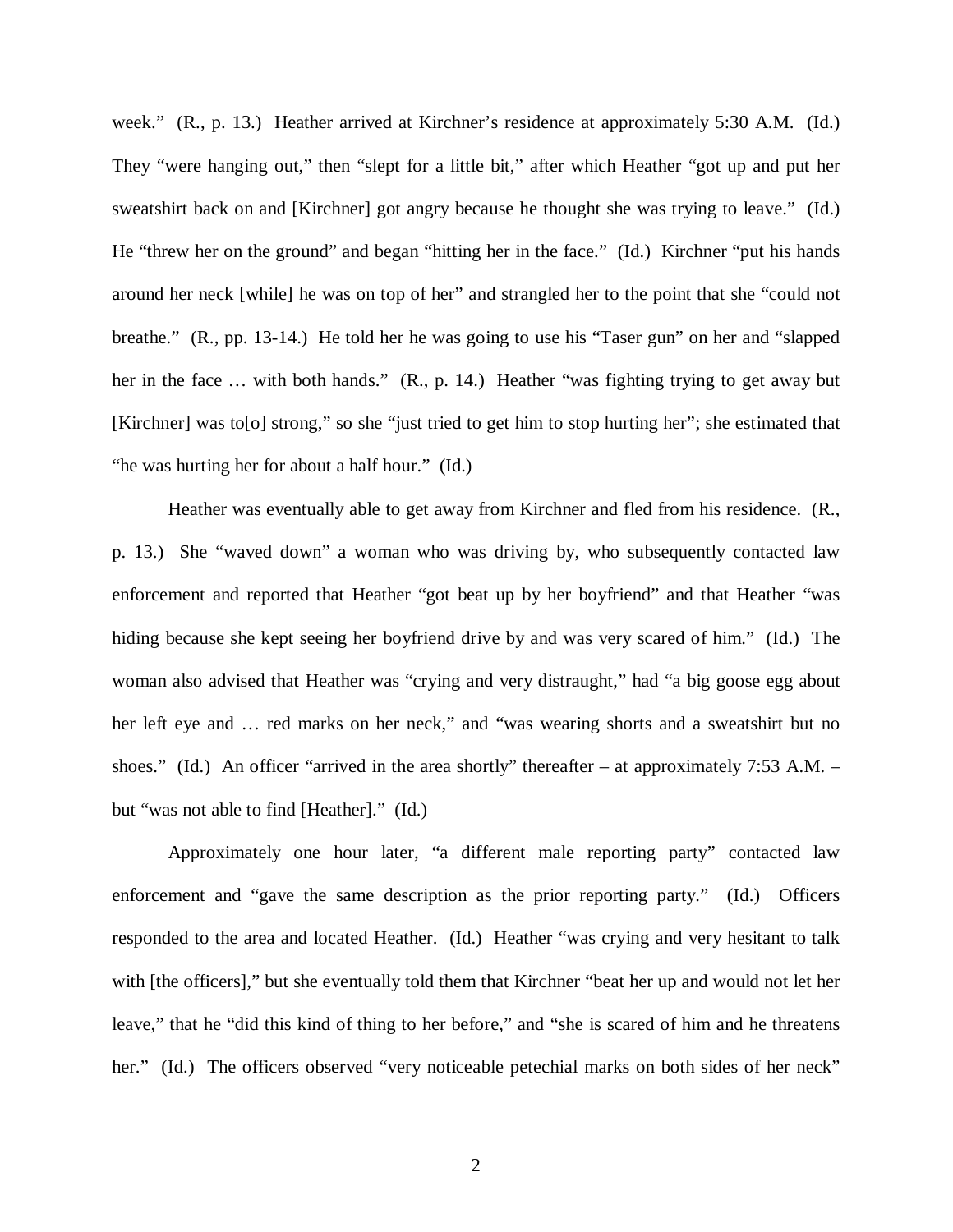week." (R., p. 13.) Heather arrived at Kirchner's residence at approximately 5:30 A.M. (Id.) They "were hanging out," then "slept for a little bit," after which Heather "got up and put her sweatshirt back on and [Kirchner] got angry because he thought she was trying to leave." (Id.) He "threw her on the ground" and began "hitting her in the face." (Id.) Kirchner "put his hands around her neck [while] he was on top of her" and strangled her to the point that she "could not breathe." (R., pp. 13-14.) He told her he was going to use his "Taser gun" on her and "slapped her in the face ... with both hands." (R., p. 14.) Heather "was fighting trying to get away but [Kirchner] was to[o] strong," so she "just tried to get him to stop hurting her"; she estimated that "he was hurting her for about a half hour." (Id.)

Heather was eventually able to get away from Kirchner and fled from his residence. (R., p. 13.) She "waved down" a woman who was driving by, who subsequently contacted law enforcement and reported that Heather "got beat up by her boyfriend" and that Heather "was hiding because she kept seeing her boyfriend drive by and was very scared of him." (Id.) The woman also advised that Heather was "crying and very distraught," had "a big goose egg about her left eye and … red marks on her neck," and "was wearing shorts and a sweatshirt but no shoes." (Id.) An officer "arrived in the area shortly" thereafter – at approximately 7:53 A.M. – but "was not able to find [Heather]." (Id.)

Approximately one hour later, "a different male reporting party" contacted law enforcement and "gave the same description as the prior reporting party." (Id.) Officers responded to the area and located Heather. (Id.) Heather "was crying and very hesitant to talk with [the officers]," but she eventually told them that Kirchner "beat her up and would not let her leave," that he "did this kind of thing to her before," and "she is scared of him and he threatens her." (Id.) The officers observed "very noticeable petechial marks on both sides of her neck"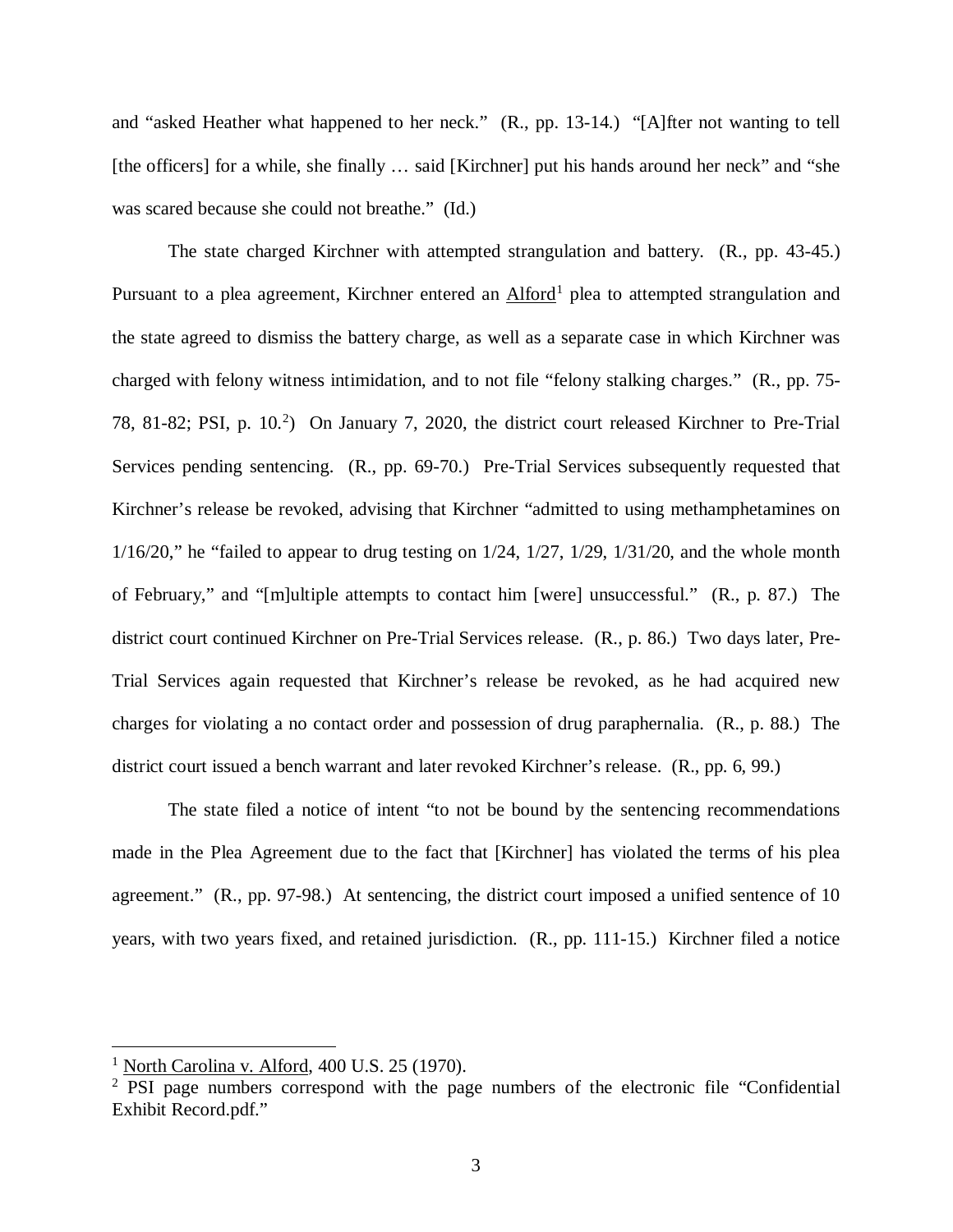and "asked Heather what happened to her neck." (R., pp. 13-14.) "[A]fter not wanting to tell [the officers] for a while, she finally ... said [Kirchner] put his hands around her neck" and "she was scared because she could not breathe." (Id.)

The state charged Kirchner with attempted strangulation and battery. (R., pp. 43-45.) Pursuant to a plea agreement, Kirchner entered an Alford<sup>[1](#page-3-0)</sup> plea to attempted strangulation and the state agreed to dismiss the battery charge, as well as a separate case in which Kirchner was charged with felony witness intimidation, and to not file "felony stalking charges." (R., pp. 75- 78, 81-82; PSI, p. 10. [2](#page-3-1) ) On January 7, 2020, the district court released Kirchner to Pre-Trial Services pending sentencing. (R., pp. 69-70.) Pre-Trial Services subsequently requested that Kirchner's release be revoked, advising that Kirchner "admitted to using methamphetamines on  $1/16/20$ ," he "failed to appear to drug testing on  $1/24$ ,  $1/27$ ,  $1/29$ ,  $1/31/20$ , and the whole month of February," and "[m]ultiple attempts to contact him [were] unsuccessful." (R., p. 87.) The district court continued Kirchner on Pre-Trial Services release. (R., p. 86.) Two days later, Pre-Trial Services again requested that Kirchner's release be revoked, as he had acquired new charges for violating a no contact order and possession of drug paraphernalia. (R., p. 88.) The district court issued a bench warrant and later revoked Kirchner's release. (R., pp. 6, 99.)

The state filed a notice of intent "to not be bound by the sentencing recommendations made in the Plea Agreement due to the fact that [Kirchner] has violated the terms of his plea agreement." (R., pp. 97-98.) At sentencing, the district court imposed a unified sentence of 10 years, with two years fixed, and retained jurisdiction. (R., pp. 111-15.) Kirchner filed a notice

 $\overline{a}$ 

<span id="page-3-0"></span><sup>&</sup>lt;sup>1</sup> North Carolina v. Alford,  $400$  U.S. 25 (1970).

<span id="page-3-1"></span><sup>&</sup>lt;sup>2</sup> PSI page numbers correspond with the page numbers of the electronic file "Confidential" Exhibit Record.pdf."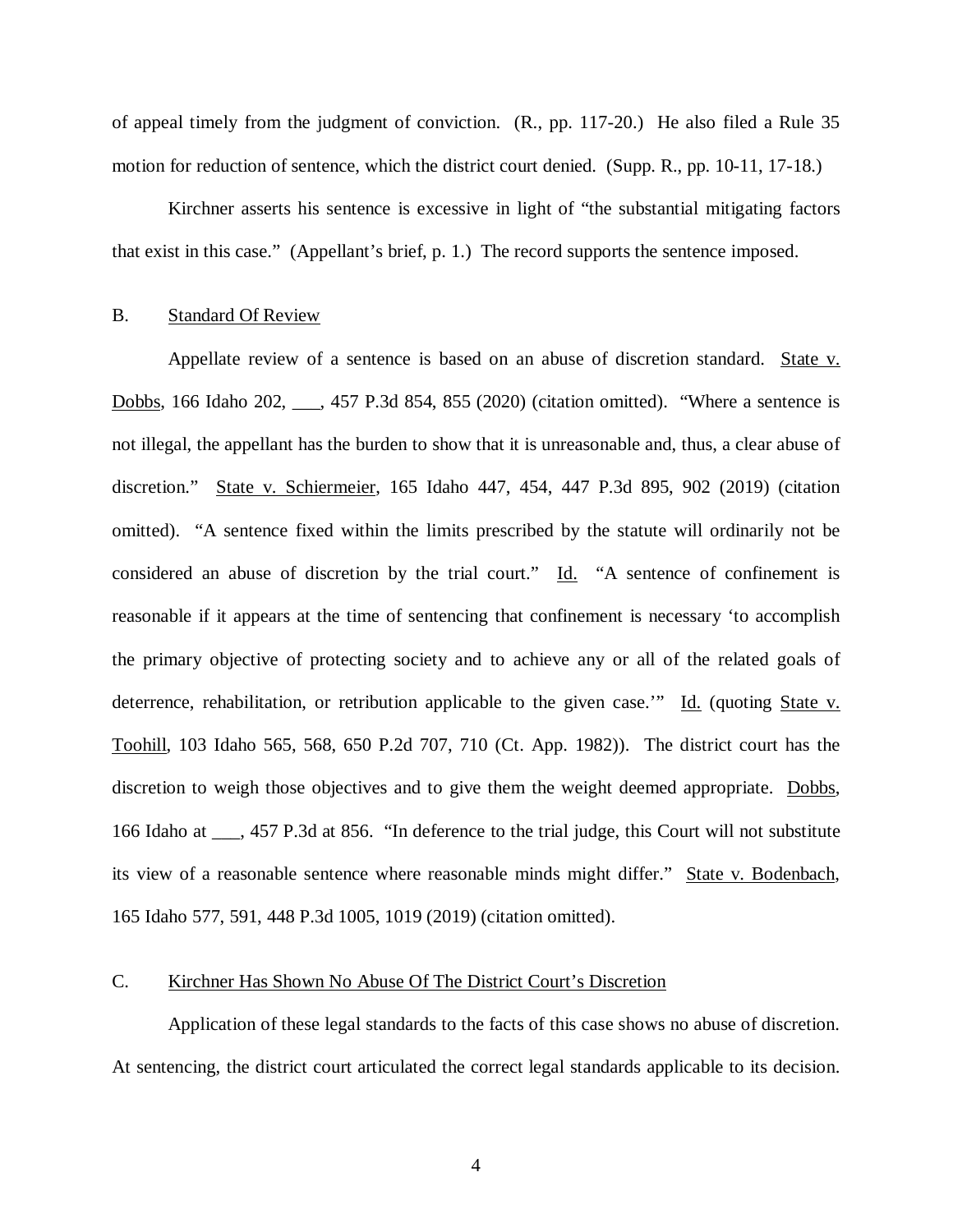of appeal timely from the judgment of conviction. (R., pp. 117-20.) He also filed a Rule 35 motion for reduction of sentence, which the district court denied. (Supp. R., pp. 10-11, 17-18.)

Kirchner asserts his sentence is excessive in light of "the substantial mitigating factors that exist in this case." (Appellant's brief, p. 1.) The record supports the sentence imposed.

#### B. Standard Of Review

Appellate review of a sentence is based on an abuse of discretion standard. State v. Dobbs, 166 Idaho 202, \_\_\_, 457 P.3d 854, 855 (2020) (citation omitted). "Where a sentence is not illegal, the appellant has the burden to show that it is unreasonable and, thus, a clear abuse of discretion." State v. Schiermeier, 165 Idaho 447, 454, 447 P.3d 895, 902 (2019) (citation omitted). "A sentence fixed within the limits prescribed by the statute will ordinarily not be considered an abuse of discretion by the trial court." Id. "A sentence of confinement is reasonable if it appears at the time of sentencing that confinement is necessary 'to accomplish the primary objective of protecting society and to achieve any or all of the related goals of deterrence, rehabilitation, or retribution applicable to the given case.'" Id. (quoting State v. Toohill, 103 Idaho 565, 568, 650 P.2d 707, 710 (Ct. App. 1982)). The district court has the discretion to weigh those objectives and to give them the weight deemed appropriate. Dobbs, 166 Idaho at \_\_\_, 457 P.3d at 856. "In deference to the trial judge, this Court will not substitute its view of a reasonable sentence where reasonable minds might differ." State v. Bodenbach, 165 Idaho 577, 591, 448 P.3d 1005, 1019 (2019) (citation omitted).

### C. Kirchner Has Shown No Abuse Of The District Court's Discretion

Application of these legal standards to the facts of this case shows no abuse of discretion. At sentencing, the district court articulated the correct legal standards applicable to its decision.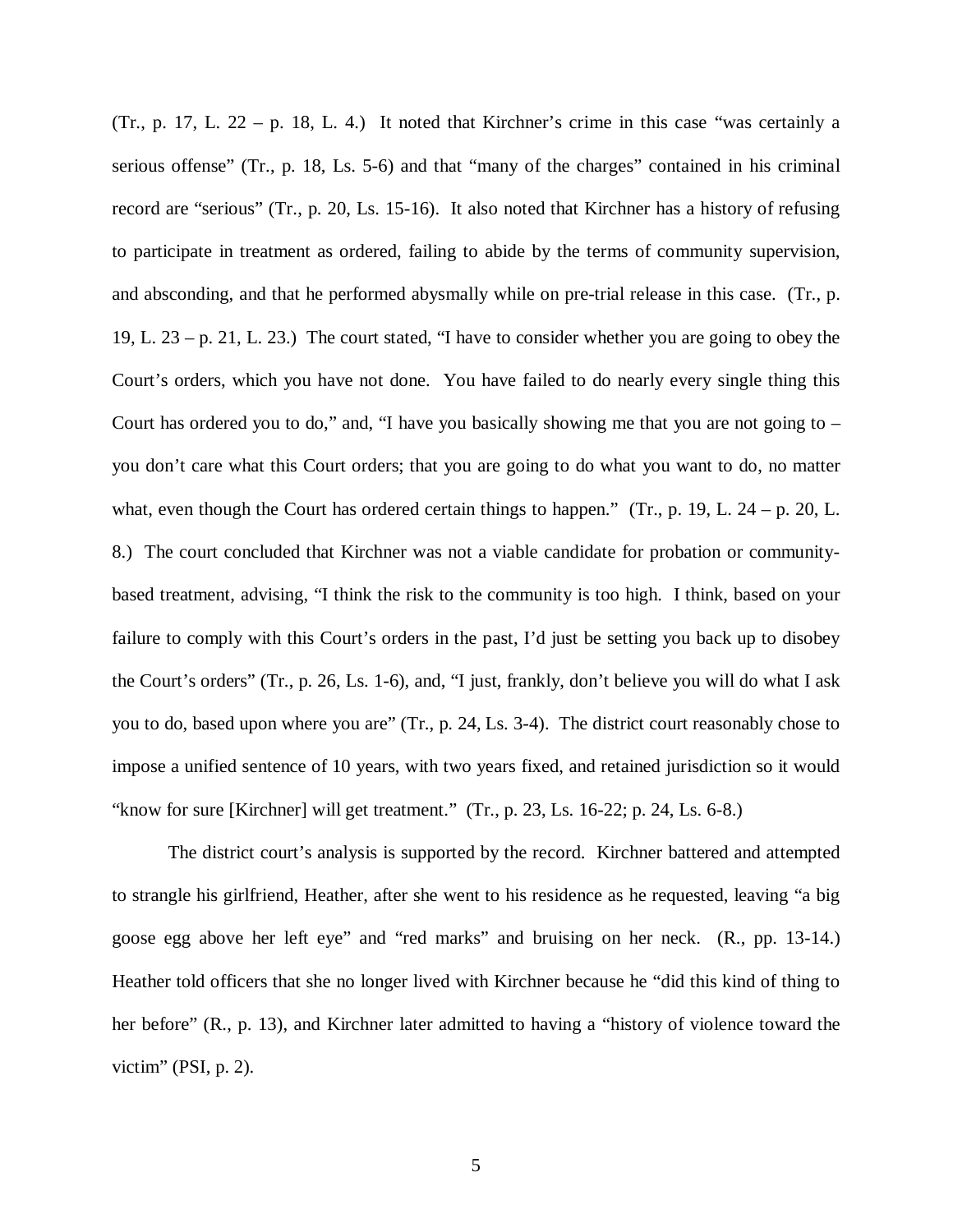(Tr., p. 17, L.  $22 - p$ . 18, L. 4.) It noted that Kirchner's crime in this case "was certainly a serious offense" (Tr., p. 18, Ls. 5-6) and that "many of the charges" contained in his criminal record are "serious" (Tr., p. 20, Ls. 15-16). It also noted that Kirchner has a history of refusing to participate in treatment as ordered, failing to abide by the terms of community supervision, and absconding, and that he performed abysmally while on pre-trial release in this case. (Tr., p. 19, L. 23 – p. 21, L. 23.) The court stated, "I have to consider whether you are going to obey the Court's orders, which you have not done. You have failed to do nearly every single thing this Court has ordered you to do," and, "I have you basically showing me that you are not going to – you don't care what this Court orders; that you are going to do what you want to do, no matter what, even though the Court has ordered certain things to happen." (Tr., p. 19, L. 24 – p. 20, L. 8.) The court concluded that Kirchner was not a viable candidate for probation or communitybased treatment, advising, "I think the risk to the community is too high. I think, based on your failure to comply with this Court's orders in the past, I'd just be setting you back up to disobey the Court's orders" (Tr., p. 26, Ls. 1-6), and, "I just, frankly, don't believe you will do what I ask you to do, based upon where you are" (Tr., p. 24, Ls. 3-4). The district court reasonably chose to impose a unified sentence of 10 years, with two years fixed, and retained jurisdiction so it would "know for sure [Kirchner] will get treatment."  $(Tr, p. 23, Ls. 16-22; p. 24, Ls. 6-8.)$ 

The district court's analysis is supported by the record. Kirchner battered and attempted to strangle his girlfriend, Heather, after she went to his residence as he requested, leaving "a big goose egg above her left eye" and "red marks" and bruising on her neck. (R., pp. 13-14.) Heather told officers that she no longer lived with Kirchner because he "did this kind of thing to her before" (R., p. 13), and Kirchner later admitted to having a "history of violence toward the victim" (PSI, p. 2).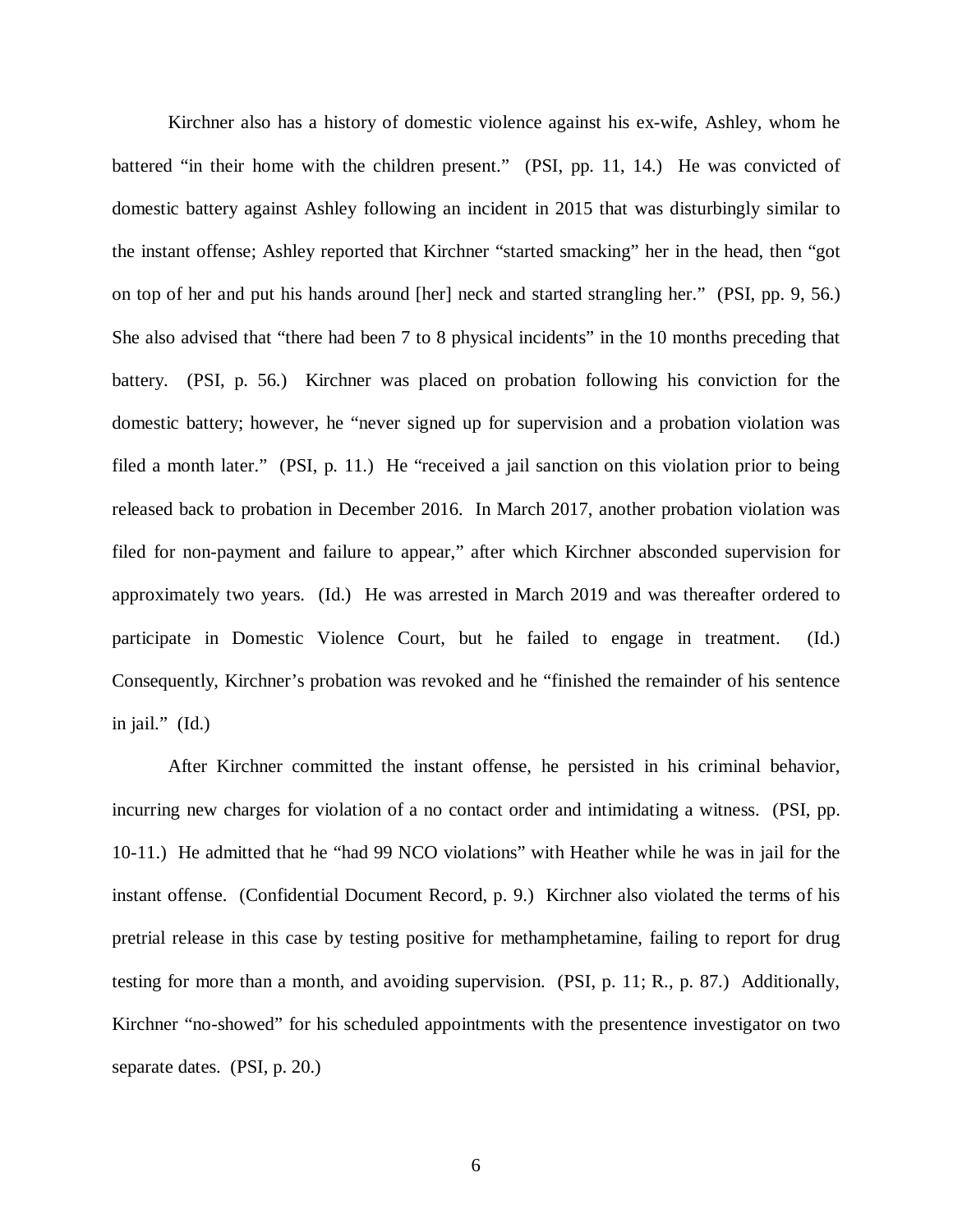Kirchner also has a history of domestic violence against his ex-wife, Ashley, whom he battered "in their home with the children present." (PSI, pp. 11, 14.) He was convicted of domestic battery against Ashley following an incident in 2015 that was disturbingly similar to the instant offense; Ashley reported that Kirchner "started smacking" her in the head, then "got on top of her and put his hands around [her] neck and started strangling her." (PSI, pp. 9, 56.) She also advised that "there had been 7 to 8 physical incidents" in the 10 months preceding that battery. (PSI, p. 56.) Kirchner was placed on probation following his conviction for the domestic battery; however, he "never signed up for supervision and a probation violation was filed a month later." (PSI, p. 11.) He "received a jail sanction on this violation prior to being released back to probation in December 2016. In March 2017, another probation violation was filed for non-payment and failure to appear," after which Kirchner absconded supervision for approximately two years. (Id.) He was arrested in March 2019 and was thereafter ordered to participate in Domestic Violence Court, but he failed to engage in treatment. (Id.) Consequently, Kirchner's probation was revoked and he "finished the remainder of his sentence in jail." (Id.)

After Kirchner committed the instant offense, he persisted in his criminal behavior, incurring new charges for violation of a no contact order and intimidating a witness. (PSI, pp. 10-11.) He admitted that he "had 99 NCO violations" with Heather while he was in jail for the instant offense. (Confidential Document Record, p. 9.) Kirchner also violated the terms of his pretrial release in this case by testing positive for methamphetamine, failing to report for drug testing for more than a month, and avoiding supervision. (PSI, p. 11; R., p. 87.) Additionally, Kirchner "no-showed" for his scheduled appointments with the presentence investigator on two separate dates. (PSI, p. 20.)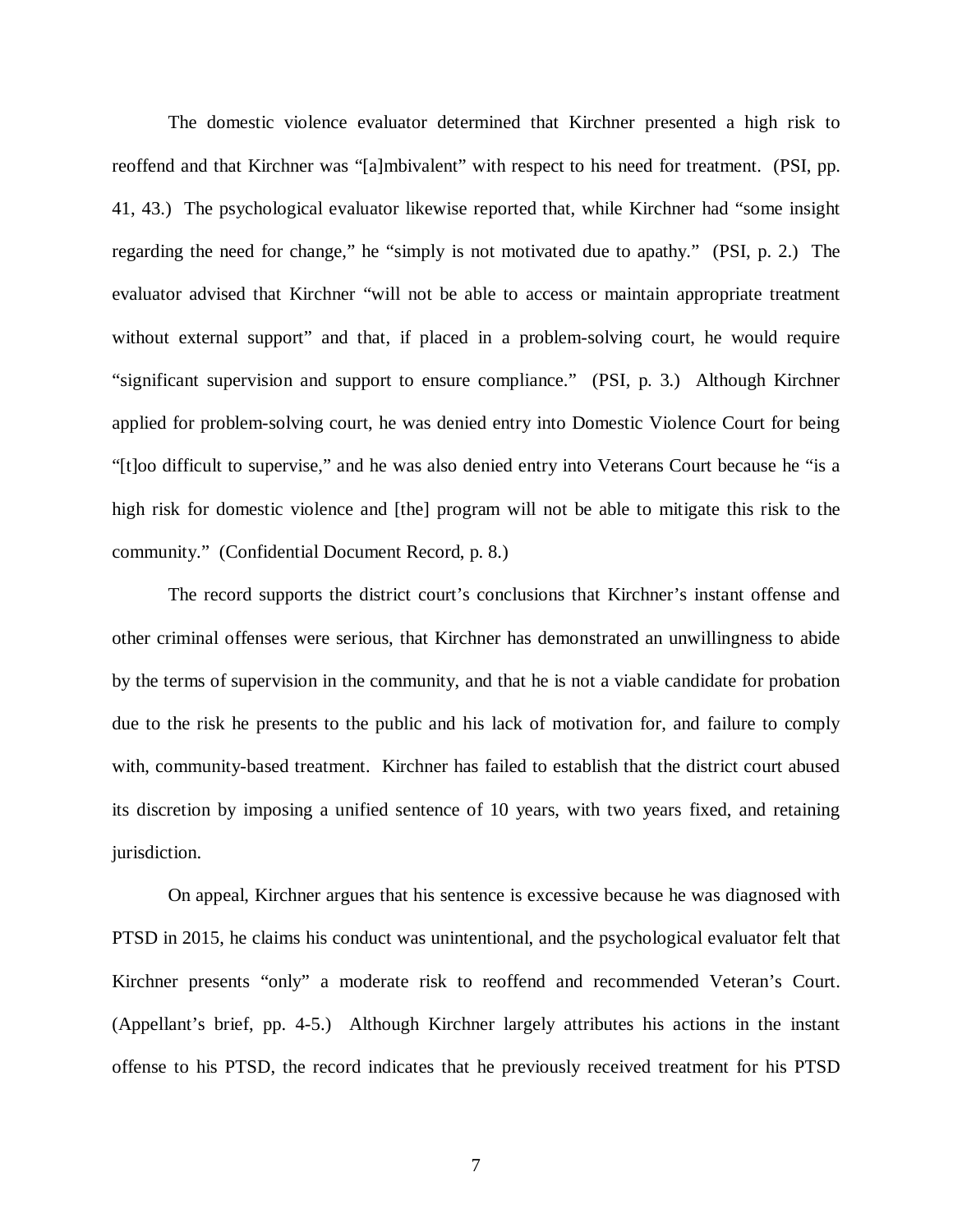The domestic violence evaluator determined that Kirchner presented a high risk to reoffend and that Kirchner was "[a]mbivalent" with respect to his need for treatment. (PSI, pp. 41, 43.) The psychological evaluator likewise reported that, while Kirchner had "some insight regarding the need for change," he "simply is not motivated due to apathy." (PSI, p. 2.) The evaluator advised that Kirchner "will not be able to access or maintain appropriate treatment without external support" and that, if placed in a problem-solving court, he would require "significant supervision and support to ensure compliance." (PSI, p. 3.) Although Kirchner applied for problem-solving court, he was denied entry into Domestic Violence Court for being "[t]oo difficult to supervise," and he was also denied entry into Veterans Court because he "is a high risk for domestic violence and [the] program will not be able to mitigate this risk to the community." (Confidential Document Record, p. 8.)

The record supports the district court's conclusions that Kirchner's instant offense and other criminal offenses were serious, that Kirchner has demonstrated an unwillingness to abide by the terms of supervision in the community, and that he is not a viable candidate for probation due to the risk he presents to the public and his lack of motivation for, and failure to comply with, community-based treatment. Kirchner has failed to establish that the district court abused its discretion by imposing a unified sentence of 10 years, with two years fixed, and retaining jurisdiction.

On appeal, Kirchner argues that his sentence is excessive because he was diagnosed with PTSD in 2015, he claims his conduct was unintentional, and the psychological evaluator felt that Kirchner presents "only" a moderate risk to reoffend and recommended Veteran's Court. (Appellant's brief, pp. 4-5.) Although Kirchner largely attributes his actions in the instant offense to his PTSD, the record indicates that he previously received treatment for his PTSD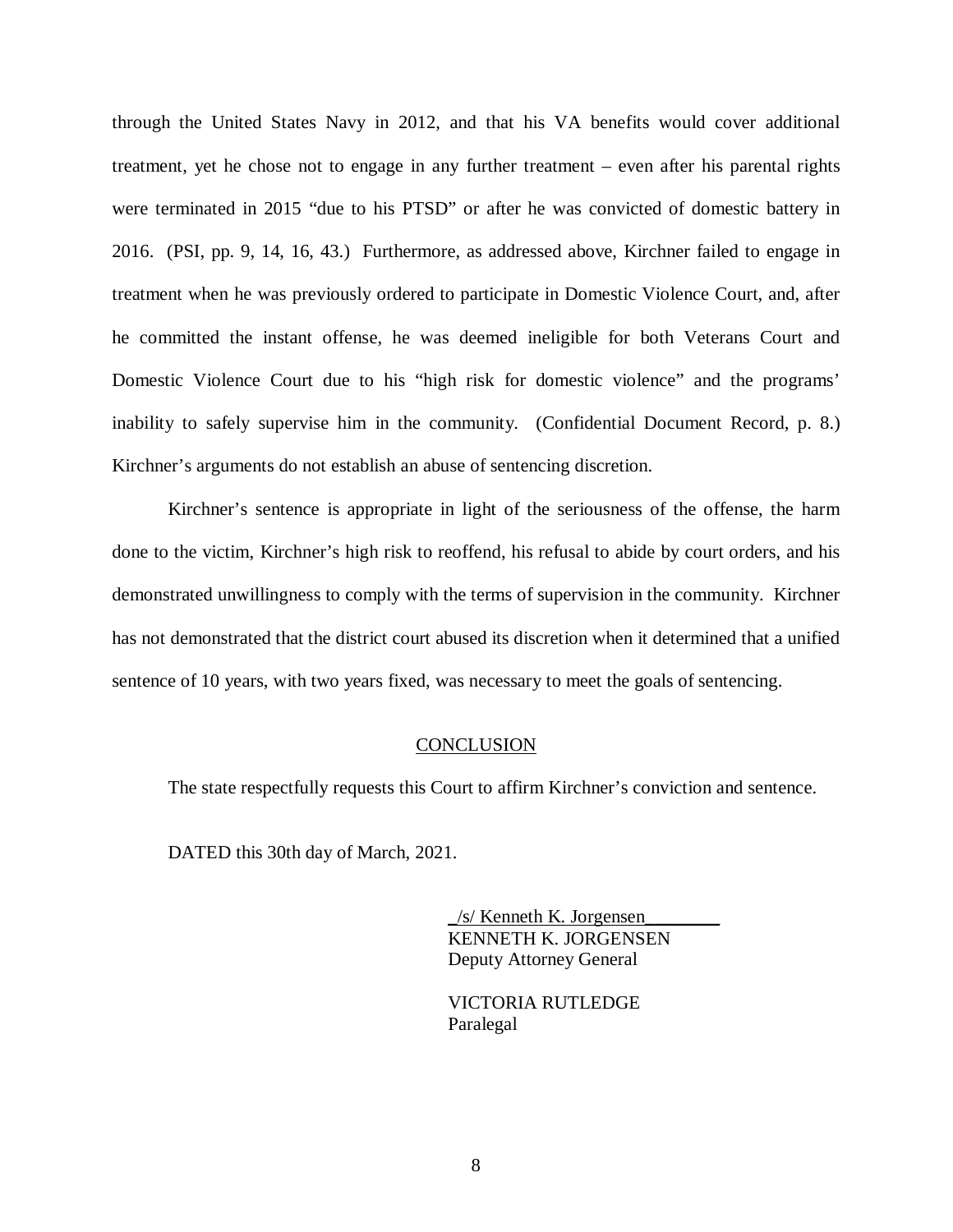through the United States Navy in 2012, and that his VA benefits would cover additional treatment, yet he chose not to engage in any further treatment – even after his parental rights were terminated in 2015 "due to his PTSD" or after he was convicted of domestic battery in 2016. (PSI, pp. 9, 14, 16, 43.) Furthermore, as addressed above, Kirchner failed to engage in treatment when he was previously ordered to participate in Domestic Violence Court, and, after he committed the instant offense, he was deemed ineligible for both Veterans Court and Domestic Violence Court due to his "high risk for domestic violence" and the programs' inability to safely supervise him in the community. (Confidential Document Record, p. 8.) Kirchner's arguments do not establish an abuse of sentencing discretion.

Kirchner's sentence is appropriate in light of the seriousness of the offense, the harm done to the victim, Kirchner's high risk to reoffend, his refusal to abide by court orders, and his demonstrated unwillingness to comply with the terms of supervision in the community. Kirchner has not demonstrated that the district court abused its discretion when it determined that a unified sentence of 10 years, with two years fixed, was necessary to meet the goals of sentencing.

#### **CONCLUSION**

The state respectfully requests this Court to affirm Kirchner's conviction and sentence.

DATED this 30th day of March, 2021.

 \_/s/ Kenneth K. Jorgensen\_\_\_\_\_\_\_\_ KENNETH K. JORGENSEN Deputy Attorney General

 VICTORIA RUTLEDGE Paralegal